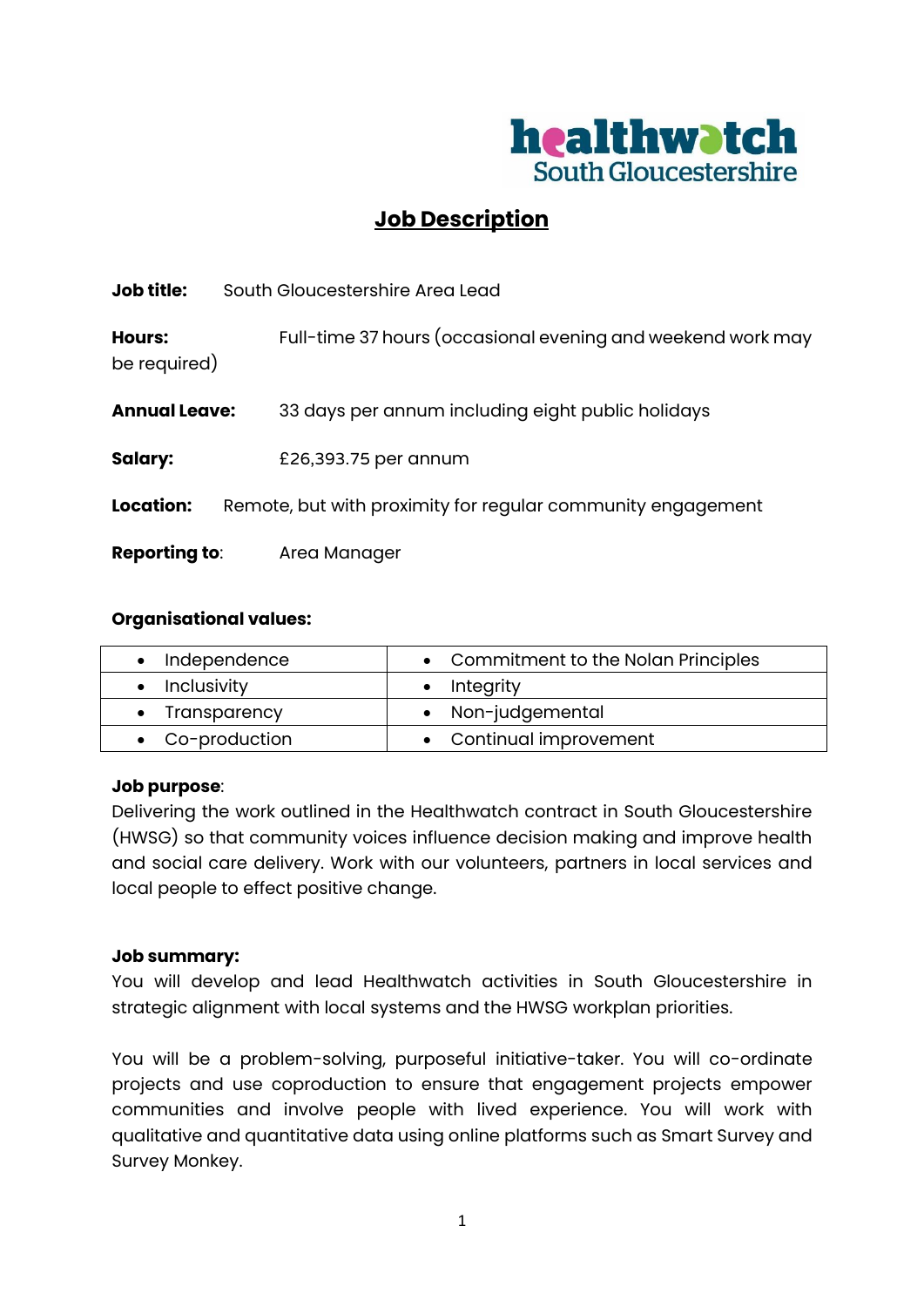

# **Job Description**

| Full-time 37 hours (occasional evening and weekend work may |
|-------------------------------------------------------------|
|                                                             |
|                                                             |
|                                                             |
|                                                             |
|                                                             |

#### **Organisational values:**

| Independence    | • Commitment to the Nolan Principles |
|-----------------|--------------------------------------|
| • Inclusivity   | Integrity                            |
| • Transparency  | • Non-judgemental                    |
| • Co-production | • Continual improvement              |

## **Job purpose**:

Delivering the work outlined in the Healthwatch contract in South Gloucestershire (HWSG) so that community voices influence decision making and improve health and social care delivery. Work with our volunteers, partners in local services and local people to effect positive change.

#### **Job summary:**

You will develop and lead Healthwatch activities in South Gloucestershire in strategic alignment with local systems and the HWSG workplan priorities.

You will be a problem-solving, purposeful initiative-taker. You will co-ordinate projects and use coproduction to ensure that engagement projects empower communities and involve people with lived experience. You will work with qualitative and quantitative data using online platforms such as Smart Survey and Survey Monkey.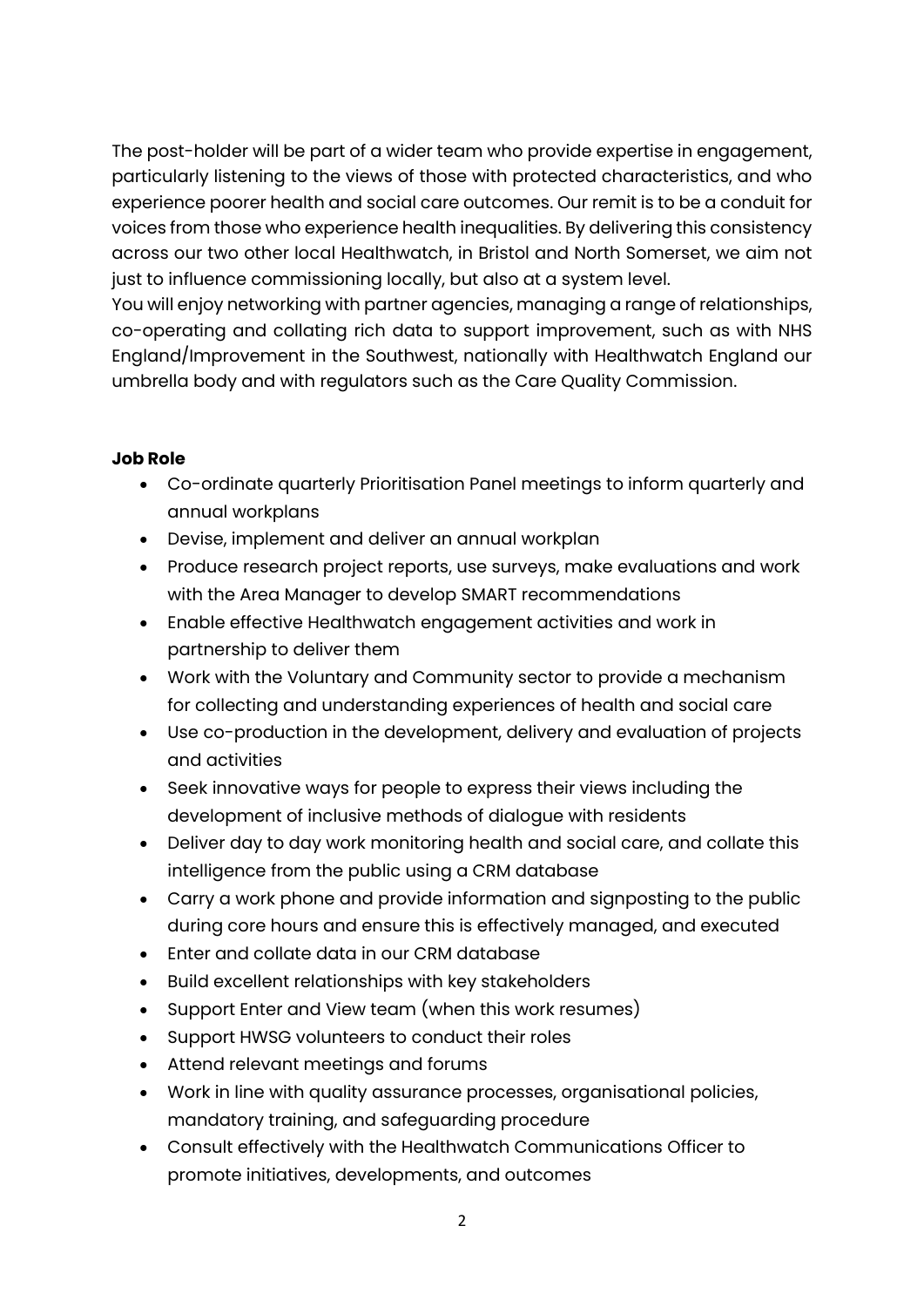The post-holder will be part of a wider team who provide expertise in engagement, particularly listening to the views of those with protected characteristics, and who experience poorer health and social care outcomes. Our remit is to be a conduit for voices from those who experience health inequalities. By delivering this consistency across our two other local Healthwatch, in Bristol and North Somerset, we aim not just to influence commissioning locally, but also at a system level.

You will enjoy networking with partner agencies, managing a range of relationships, co-operating and collating rich data to support improvement, such as with NHS England/Improvement in the Southwest, nationally with Healthwatch England our umbrella body and with regulators such as the Care Quality Commission.

## **Job Role**

- Co-ordinate quarterly Prioritisation Panel meetings to inform quarterly and annual workplans
- Devise, implement and deliver an annual workplan
- Produce research project reports, use surveys, make evaluations and work with the Area Manager to develop SMART recommendations
- Enable effective Healthwatch engagement activities and work in partnership to deliver them
- Work with the Voluntary and Community sector to provide a mechanism for collecting and understanding experiences of health and social care
- Use co-production in the development, delivery and evaluation of projects and activities
- Seek innovative ways for people to express their views including the development of inclusive methods of dialogue with residents
- Deliver day to day work monitoring health and social care, and collate this intelligence from the public using a CRM database
- Carry a work phone and provide information and signposting to the public during core hours and ensure this is effectively managed, and executed
- Enter and collate data in our CRM database
- Build excellent relationships with key stakeholders
- Support Enter and View team (when this work resumes)
- Support HWSG volunteers to conduct their roles
- Attend relevant meetings and forums
- Work in line with quality assurance processes, organisational policies, mandatory training, and safeguarding procedure
- Consult effectively with the Healthwatch Communications Officer to promote initiatives, developments, and outcomes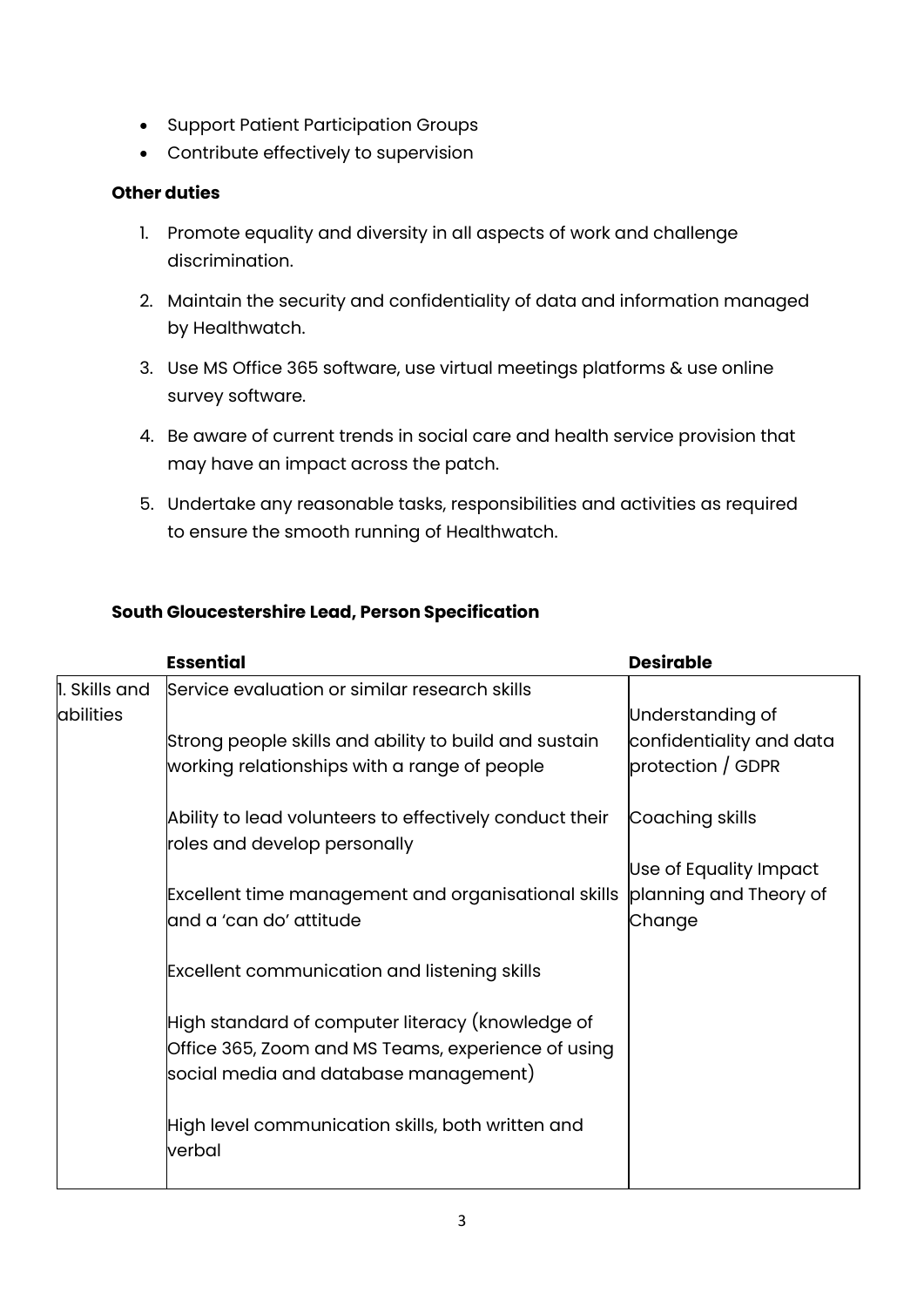- Support Patient Participation Groups
- Contribute effectively to supervision

## **Other duties**

- 1. Promote equality and diversity in all aspects of work and challenge discrimination.
- 2. Maintain the security and confidentiality of data and information managed by Healthwatch.
- 3. Use MS Office 365 software, use virtual meetings platforms & use online survey software.
- 4. Be aware of current trends in social care and health service provision that may have an impact across the patch.
- 5. Undertake any reasonable tasks, responsibilities and activities as required to ensure the smooth running of Healthwatch.

## **South Gloucestershire Lead, Person Specification**

|                            | <b>Essential</b>                                                                                      | <b>Desirable</b>                              |
|----------------------------|-------------------------------------------------------------------------------------------------------|-----------------------------------------------|
| 1. Skills and<br>abilities | Service evaluation or similar research skills                                                         | Understanding of                              |
|                            | Strong people skills and ability to build and sustain<br>working relationships with a range of people | confidentiality and data<br>protection / GDPR |
|                            | Ability to lead volunteers to effectively conduct their<br>roles and develop personally               | Coaching skills                               |
|                            |                                                                                                       | Use of Equality Impact                        |
|                            | Excellent time management and organisational skills                                                   | planning and Theory of                        |
|                            | and a 'can do' attitude                                                                               | Change                                        |
|                            | <b>Excellent communication and listening skills</b>                                                   |                                               |
|                            | High standard of computer literacy (knowledge of                                                      |                                               |
|                            | Office 365, Zoom and MS Teams, experience of using                                                    |                                               |
|                            | social media and database management)                                                                 |                                               |
|                            |                                                                                                       |                                               |
|                            | High level communication skills, both written and<br>verbal                                           |                                               |
|                            |                                                                                                       |                                               |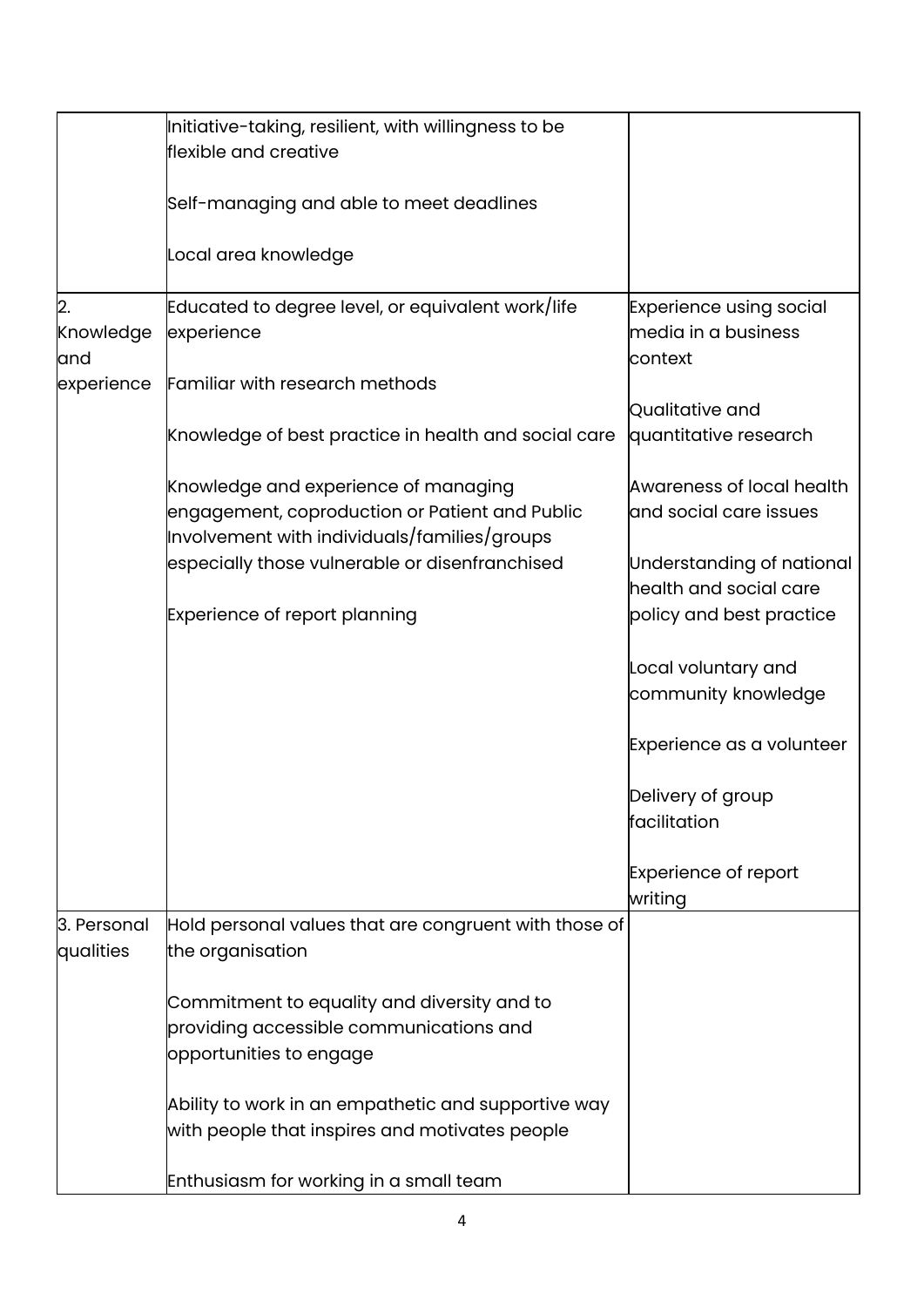|                  | Initiative-taking, resilient, with willingness to be  |                                |
|------------------|-------------------------------------------------------|--------------------------------|
|                  | flexible and creative                                 |                                |
|                  |                                                       |                                |
|                  | Self-managing and able to meet deadlines              |                                |
|                  |                                                       |                                |
|                  | Local area knowledge                                  |                                |
|                  |                                                       |                                |
| $\overline{2}$ . | Educated to degree level, or equivalent work/life     | <b>Experience using social</b> |
| Knowledge        | experience                                            | media in a business            |
| and              |                                                       | context                        |
| experience       | Familiar with research methods                        |                                |
|                  |                                                       | Qualitative and                |
|                  | Knowledge of best practice in health and social care  | quantitative research          |
|                  |                                                       |                                |
|                  | Knowledge and experience of managing                  | Awareness of local health      |
|                  | engagement, coproduction or Patient and Public        | and social care issues         |
|                  | Involvement with individuals/families/groups          |                                |
|                  | especially those vulnerable or disenfranchised        | Understanding of national      |
|                  |                                                       | health and social care         |
|                  | <b>Experience of report planning</b>                  | policy and best practice       |
|                  |                                                       |                                |
|                  |                                                       | Local voluntary and            |
|                  |                                                       | community knowledge            |
|                  |                                                       |                                |
|                  |                                                       | Experience as a volunteer      |
|                  |                                                       |                                |
|                  |                                                       | Delivery of group              |
|                  |                                                       | facilitation                   |
|                  |                                                       |                                |
|                  |                                                       | <b>Experience of report</b>    |
|                  |                                                       | writing                        |
| 3. Personal      | Hold personal values that are congruent with those of |                                |
| qualities        | the organisation                                      |                                |
|                  |                                                       |                                |
|                  | Commitment to equality and diversity and to           |                                |
|                  | providing accessible communications and               |                                |
|                  | opportunities to engage                               |                                |
|                  |                                                       |                                |
|                  | Ability to work in an empathetic and supportive way   |                                |
|                  | with people that inspires and motivates people        |                                |
|                  | Enthusiasm for working in a small team                |                                |
|                  |                                                       |                                |